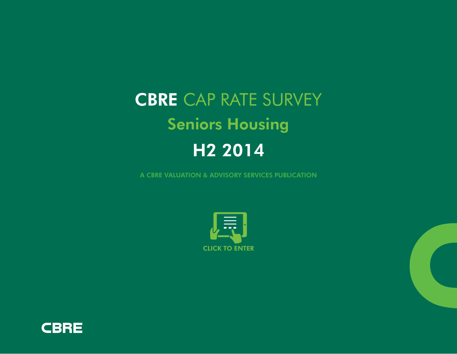# CBRE CAP RATE SURVEY Seniors Housing H2 2014

A CBRE VALUATION & ADVISORY SERVICES PUBLICATION



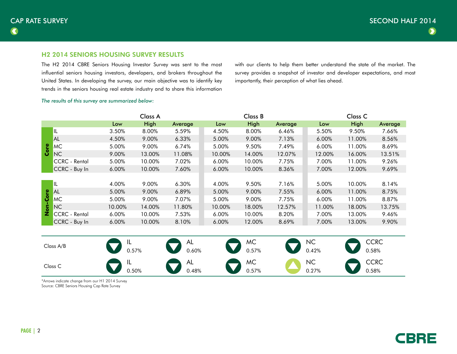## H2 2014 SENIORS HOUSING SURVEY RESULTS

The H2 2014 CBRE Seniors Housing Investor Survey was sent to the most influential seniors housing investors, developers, and brokers throughout the United States. In developing the survey, our main objective was to identify key trends in the seniors housing real estate industry and to share this information

with our clients to help them better understand the state of the market. The survey provides a snapshot of investor and developer expectations, and most importantly, their perception of what lies ahead.

#### *The results of this survey are summarized below:*

|                       |                      |          | Class A |         |          | Class B |         | Class <sub>C</sub> |        |         |  |
|-----------------------|----------------------|----------|---------|---------|----------|---------|---------|--------------------|--------|---------|--|
|                       |                      | Low      | High    | Average | Low      | High    | Average | Low                | High   | Average |  |
| စ္<br>မြိ             | IL                   | 3.50%    | 8.00%   | 5.59%   | 4.50%    | 8.00%   | 6.46%   | 5.50%              | 9.50%  | 7.66%   |  |
|                       | <b>AL</b>            | 4.50%    | 9.00%   | 6.33%   | 5.00%    | 9.00%   | 7.13%   | 6.00%              | 11.00% | 8.56%   |  |
|                       | MC                   | 5.00%    | 9.00%   | 6.74%   | 5.00%    | 9.50%   | 7.49%   | 6.00%              | 11.00% | 8.69%   |  |
|                       | N <sub>C</sub>       | 9.00%    | 13.00%  | 11.08%  | 10.00%   | 14.00%  | 12.07%  | 12.00%             | 16.00% | 13.51%  |  |
|                       | CCRC - Rental        | 5.00%    | 10.00%  | 7.02%   | $6.00\%$ | 10.00%  | 7.75%   | 7.00%              | 11.00% | 9.26%   |  |
|                       | CCRC - Buy In        | $6.00\%$ | 10.00%  | 7.60%   | $6.00\%$ | 10.00%  | 8.36%   | 7.00%              | 12.00% | 9.69%   |  |
|                       |                      |          |         |         |          |         |         |                    |        |         |  |
|                       | IL                   | 4.00%    | 9.00%   | 6.30%   | 4.00%    | 9.50%   | 7.16%   | 5.00%              | 10.00% | 8.14%   |  |
| စ္                    | <b>AL</b>            | 5.00%    | 9.00%   | 6.89%   | 5.00%    | 9.00%   | 7.55%   | $6.00\%$           | 11.00% | 8.75%   |  |
| ပ္ပိ<br>$\frac{c}{2}$ | MC                   | 5.00%    | 9.00%   | 7.07%   | 5.00%    | 9.00%   | 7.75%   | 6.00%              | 11.00% | 8.87%   |  |
|                       | <b>NC</b>            | 10.00%   | 14.00%  | 11.80%  | 10.00%   | 18.00%  | 12.57%  | 11.00%             | 18.00% | 13.75%  |  |
|                       | <b>CCRC</b> - Rental | 6.00%    | 10.00%  | 7.53%   | $6.00\%$ | 10.00%  | 8.20%   | 7.00%              | 13.00% | 9.46%   |  |
|                       | CCRC - Buy In        | $6.00\%$ | 10.00%  | 8.10%   | 6.00%    | 12.00%  | 8.69%   | 7.00%              | 13.00% | 9.90%   |  |



\*Arrows indicate change from our H1 2014 Survey Source: CBRE Seniors Housing Cap Rate Survey

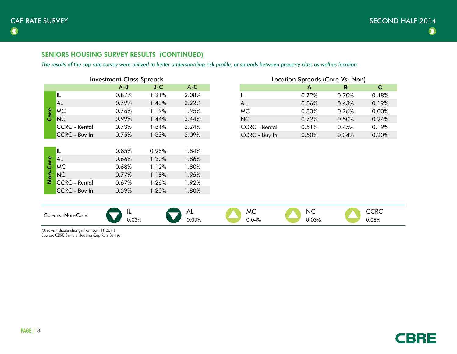# SENIORS HOUSING SURVEY RESULTS (CONTINUED)

*The results of the cap rate survey were utilized to better understanding risk profile, or spreads between property class as well as location.*

| <b>Investment Class Spreads</b> |         |       |       |  |  |  |  |  |  |
|---------------------------------|---------|-------|-------|--|--|--|--|--|--|
|                                 | $A - B$ | $B-C$ | $A-C$ |  |  |  |  |  |  |
| IIL                             | 0.87%   | 1.21% | 2.08% |  |  |  |  |  |  |
| <b>AL</b>                       | 0.79%   | 1.43% | 2.22% |  |  |  |  |  |  |
| <b>MC</b>                       | 0.76%   | 1.19% | 1.95% |  |  |  |  |  |  |
| <b>NC</b>                       | 0.99%   | 1.44% | 2.44% |  |  |  |  |  |  |
| <b>CCRC</b> - Rental            | 0.73%   | 1.51% | 2.24% |  |  |  |  |  |  |
| CCRC - Buy In                   | 0.75%   | 1.33% | 2.09% |  |  |  |  |  |  |
|                                 |         |       |       |  |  |  |  |  |  |
| IL                              | 0.85%   | 0.98% | 1.84% |  |  |  |  |  |  |
| AL                              | 0.66%   | 1.20% | 1.86% |  |  |  |  |  |  |
| <b>MC</b>                       | 0.68%   | 1.12% | 1.80% |  |  |  |  |  |  |
| <b>NC</b>                       | 0.77%   | 1.18% | 1.95% |  |  |  |  |  |  |
| <b>CCRC</b> - Rental            | 0.67%   | 1.26% | 1.92% |  |  |  |  |  |  |
| CCRC - Buy In                   | 0.59%   | 1.20% | 1.80% |  |  |  |  |  |  |
|                                 |         |       |       |  |  |  |  |  |  |

| <b>Location Spreads (Core Vs. Non)</b> |       |       |       |  |  |  |  |  |
|----------------------------------------|-------|-------|-------|--|--|--|--|--|
|                                        | A     | в     | C     |  |  |  |  |  |
| IL                                     | 0.72% | 0.70% | 0.48% |  |  |  |  |  |
| AL                                     | 0.56% | 0.43% | 0.19% |  |  |  |  |  |
| <b>MC</b>                              | 0.33% | 0.26% | 0.00% |  |  |  |  |  |
| NC                                     | 0.72% | 0.50% | 0.24% |  |  |  |  |  |
| <b>CCRC</b> - Rental                   | 0.51% | 0.45% | 0.19% |  |  |  |  |  |
| CCRC - Buy In                          | 0.50% | 0.34% | 0.20% |  |  |  |  |  |

| . Non-Core<br>Jore vs∴ | . .                                          | AL.   | MC    | NC                                              | $\sim$ n $\sim$<br>ししへし                         |
|------------------------|----------------------------------------------|-------|-------|-------------------------------------------------|-------------------------------------------------|
|                        | 0.03%<br>the contract of the contract of the | 0.09% | 0.04% | $0.03\%$<br>the contract of the contract of the | $0.08\%$<br>the contract of the contract of the |

\*Arrows indicate change from our H1 2014 Source: CBRE Seniors Housing Cap Rate Survey

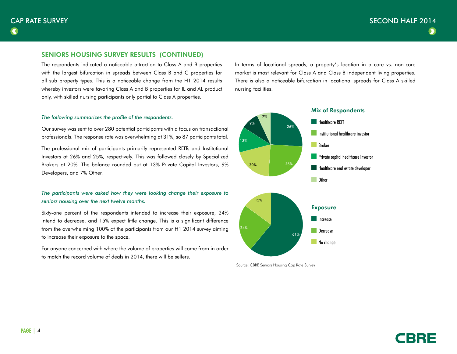## SENIORS HOUSING SURVEY RESULTS (CONTINUED)

The respondents indicated a noticeable attraction to Class A and B properties with the largest bifurcation in spreads between Class B and C properties for all sub property types. This is a noticeable change from the H1 2014 results whereby investors were favoring Class A and B properties for IL and AL product only, with skilled nursing participants only partial to Class A properties.

#### *The following summarizes the profile of the respondents.*

Our survey was sent to over 280 potential participants with a focus on transactional professionals. The response rate was overwhelming at 31%, so 87 participants total.

The professional mix of participants primarily represented REITs and Institutional Investors at 26% and 25%, respectively. This was followed closely by Specialized Brokers at 20%. The balance rounded out at 13% Private Capital Investors, 9% Developers, and 7% Other.

## *The participants were asked how they were looking change their exposure to seniors housing over the next twelve months.*

Sixty-one percent of the respondents intended to increase their exposure, 24% intend to decrease, and 15% expect little change. This is a significant difference from the overwhelming 100% of the participants from our H1 2014 survey aiming to increase their exposure to the space.

For anyone concerned with where the volume of properties will come from in order to match the record volume of deals in 2014, there will be sellers.

In terms of locational spreads, a property's location in a core vs. non-core market is most relevant for Class A and Class B independent living properties. There is also a noticeable bifurcation in locational spreads for Class A skilled nursing facilities.



Source: CBRE Seniors Housing Cap Rate Survey

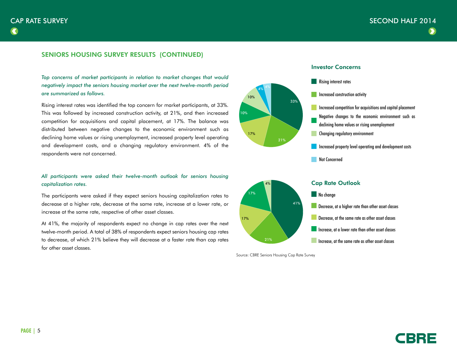# SENIORS HOUSING SURVEY RESULTS (CONTINUED)

Top concerns of market participants in relation to market changes that would *negatively impact the seniors housing market over the next twelve-month period are summarized as follows.*

Rising interest rates was identified the top concern for market participants, at 33%. This was followed by increased construction activity, at 21%, and then increased competition for acquisitions and capital placement, at 17%. The balance was distributed between negative changes to the economic environment such as declining home values or rising unemployment, increased property level operating and development costs, and a changing regulatory environment. 4% of the respondents were not concerned.

## *All participants were asked their twelve-month outlook for seniors housing capitalization rates.*

The participants were asked if they expect seniors housing capitalization rates to decrease at a higher rate, decrease at the same rate, increase at a lower rate, or increase at the same rate, respective of other asset classes.

At 41%, the majority of respondents expect no change in cap rates over the next twelve-month period. A total of 38% of respondents expect seniors housing cap rates to decrease, of which 21% believe they will decrease at a faster rate than cap rates for other asset classes.



17%

10%

10%

17%

17%

Source: CBRE Seniors Housing Cap Rate Survey







Increase, at the same rate as other asset classes